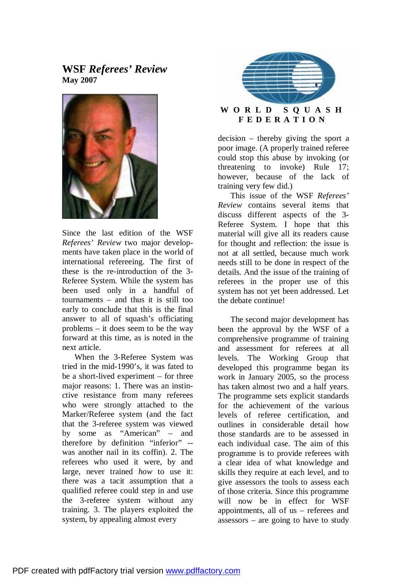# **WSF** *Referees' Review* **May 2007**



Since the last edition of the WSF *Referees' Review* two major developments have taken place in the world of international refereeing. The first of these is the re-introduction of the 3- Referee System. While the system has been used only in a handful of tournaments – and thus it is still too early to conclude that this is the final answer to all of squash's officiating problems – it does seem to be the way forward at this time, as is noted in the next article.

When the 3-Referee System was tried in the mid-1990's, it was fated to be a short-lived experiment – for three major reasons: 1. There was an instinctive resistance from many referees who were strongly attached to the Marker/Referee system (and the fact that the 3-referee system was viewed by some as "American" – and therefore by definition "inferior" - was another nail in its coffin). 2. The referees who used it were, by and large, never trained *how* to use it: there was a tacit assumption that a qualified referee could step in and use the 3-referee system without any training. 3. The players exploited the system, by appealing almost every



## **W O R L D S Q U A S H F E D E R A T I O N**

decision – thereby giving the sport a poor image. (A properly trained referee could stop this abuse by invoking (or threatening to invoke) Rule 17; however, because of the lack of training very few did.)

This issue of the WSF *Referees' Review* contains several items that discuss different aspects of the 3- Referee System. I hope that this material will give all its readers cause for thought and reflection: the issue is not at all settled, because much work needs still to be done in respect of the details. And the issue of the training of referees in the proper use of this system has not yet been addressed. Let the debate continue!

The second major development has been the approval by the WSF of a comprehensive programme of training and assessment for referees at all levels. The Working Group that developed this programme began its work in January 2005, so the process has taken almost two and a half years. The programme sets explicit standards for the achievement of the various levels of referee certification, and outlines in considerable detail how those standards are to be assessed in each individual case. The aim of this programme is to provide referees with a clear idea of what knowledge and skills they require at each level, and to give assessors the tools to assess each of those criteria. Since this programme will now be in effect for WSF appointments, all of us – referees and assessors – are going to have to study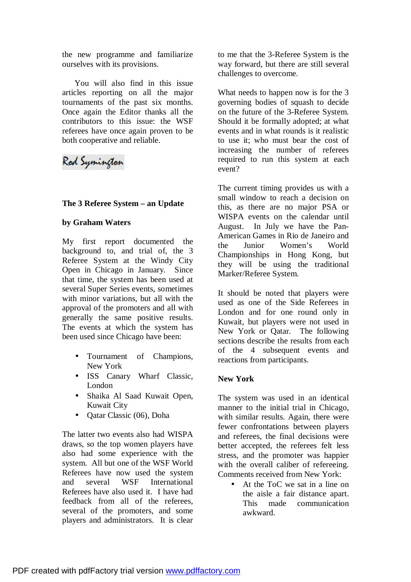the new programme and familiarize ourselves with its provisions.

You will also find in this issue articles reporting on all the major tournaments of the past six months. Once again the Editor thanks all the contributors to this issue: the WSF referees have once again proven to be both cooperative and reliable.

# Rod Symington

#### **The 3 Referee System – an Update**

#### **by Graham Waters**

My first report documented the background to, and trial of, the 3 Referee System at the Windy City Open in Chicago in January. Since that time, the system has been used at several Super Series events, sometimes with minor variations, but all with the approval of the promoters and all with generally the same positive results. The events at which the system has been used since Chicago have been:

- Tournament of Champions, New York
- ISS Canary Wharf Classic, London
- Shaika Al Saad Kuwait Open, Kuwait City
- Qatar Classic (06), Doha

The latter two events also had WISPA draws, so the top women players have also had some experience with the system. All but one of the WSF World Referees have now used the system and several WSF International Referees have also used it. I have had feedback from all of the referees, several of the promoters, and some players and administrators. It is clear to me that the 3-Referee System is the way forward, but there are still several challenges to overcome.

What needs to happen now is for the 3 governing bodies of squash to decide on the future of the 3-Referee System. Should it be formally adopted; at what events and in what rounds is it realistic to use it; who must bear the cost of increasing the number of referees required to run this system at each event?

The current timing provides us with a small window to reach a decision on this, as there are no major PSA or WISPA events on the calendar until August. In July we have the Pan-American Games in Rio de Janeiro and the Junior Women's World Championships in Hong Kong, but they will be using the traditional Marker/Referee System.

It should be noted that players were used as one of the Side Referees in London and for one round only in Kuwait, but players were not used in New York or Qatar. The following sections describe the results from each of the 4 subsequent events and reactions from participants.

#### **New York**

The system was used in an identical manner to the initial trial in Chicago, with similar results. Again, there were fewer confrontations between players and referees, the final decisions were better accepted, the referees felt less stress, and the promoter was happier with the overall caliber of refereeing. Comments received from New York:

• At the ToC we sat in a line on the aisle a fair distance apart. This made communication awkward.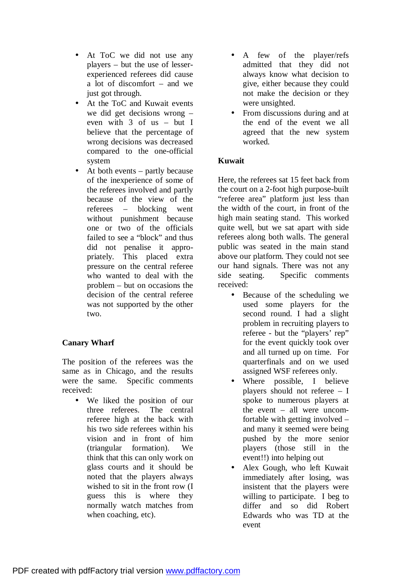- At ToC we did not use any players – but the use of lesserexperienced referees did cause a lot of discomfort – and we just got through.
- At the ToC and Kuwait events we did get decisions wrong – even with 3 of us – but I believe that the percentage of wrong decisions was decreased compared to the one-official system
- At both events partly because of the inexperience of some of the referees involved and partly because of the view of the referees – blocking went without punishment because one or two of the officials failed to see a "block" and thus did not penalise it appropriately. This placed extra pressure on the central referee who wanted to deal with the problem – but on occasions the decision of the central referee was not supported by the other two.

## **Canary Wharf**

The position of the referees was the same as in Chicago, and the results were the same. Specific comments received:

• We liked the position of our three referees. The central referee high at the back with his two side referees within his vision and in front of him (triangular formation). We think that this can only work on glass courts and it should be noted that the players always wished to sit in the front row (I guess this is where they normally watch matches from when coaching, etc).

- A few of the player/refs admitted that they did not always know what decision to give, either because they could not make the decision or they were unsighted.
- From discussions during and at the end of the event we all agreed that the new system worked.

# **Kuwait**

Here, the referees sat 15 feet back from the court on a 2-foot high purpose-built "referee area" platform just less than the width of the court, in front of the high main seating stand. This worked quite well, but we sat apart with side referees along both walls. The general public was seated in the main stand above our platform. They could not see our hand signals. There was not any side seating. Specific comments received:

- Because of the scheduling we used some players for the second round. I had a slight problem in recruiting players to referee - but the "players' rep" for the event quickly took over and all turned up on time. For quarterfinals and on we used assigned WSF referees only.
- Where possible, I believe players should not referee – I spoke to numerous players at the event – all were uncomfortable with getting involved – and many it seemed were being pushed by the more senior players (those still in the event!!) into helping out
- Alex Gough, who left Kuwait immediately after losing, was insistent that the players were willing to participate. I beg to differ and so did Robert Edwards who was TD at the event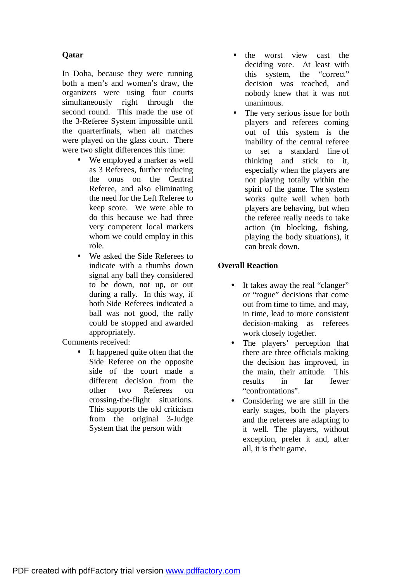# **Qatar**

In Doha, because they were running both a men's and women's draw, the organizers were using four courts simultaneously right through the second round. This made the use of the 3-Referee System impossible until the quarterfinals, when all matches were played on the glass court. There were two slight differences this time:

- We employed a marker as well as 3 Referees, further reducing the onus on the Central Referee, and also eliminating the need for the Left Referee to keep score. We were able to do this because we had three very competent local markers whom we could employ in this role.
- We asked the Side Referees to indicate with a thumbs down signal any ball they considered to be down, not up, or out during a rally. In this way, if both Side Referees indicated a ball was not good, the rally could be stopped and awarded appropriately.

Comments received:

• It happened quite often that the Side Referee on the opposite side of the court made a different decision from the other two Referees on crossing-the-flight situations. This supports the old criticism from the original 3-Judge System that the person with

- the worst view cast the deciding vote. At least with this system, the "correct" decision was reached, and nobody knew that it was not unanimous.
- The very serious issue for both players and referees coming out of this system is the inability of the central referee to set a standard line of thinking and stick to it, especially when the players are not playing totally within the spirit of the game. The system works quite well when both players are behaving, but when the referee really needs to take action (in blocking, fishing, playing the body situations), it can break down.

# **Overall Reaction**

- It takes away the real "clanger" or "rogue" decisions that come out from time to time, and may, in time, lead to more consistent decision-making as referees work closely together.
- The players' perception that there are three officials making the decision has improved, in the main, their attitude. This results in far fewer "confrontations".
- Considering we are still in the early stages, both the players and the referees are adapting to it well. The players, without exception, prefer it and, after all, it is their game.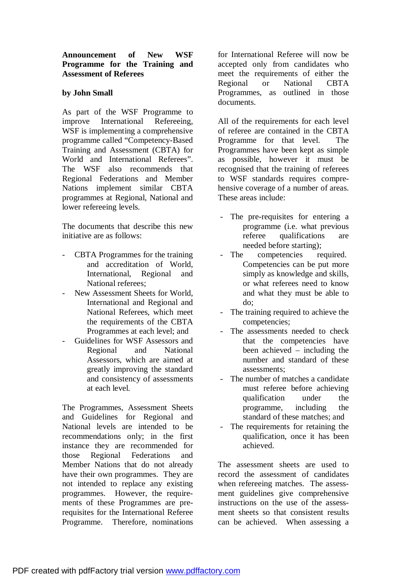### **by John Small**

As part of the WSF Programme to improve International Refereeing, WSF is implementing a comprehensive programme called "Competency-Based Training and Assessment (CBTA) for World and International Referees". The WSF also recommends that Regional Federations and Member Nations implement similar CBTA programmes at Regional, National and lower refereeing levels.

The documents that describe this new initiative are as follows:

- CBTA Programmes for the training and accreditation of World, International, Regional and National referees;
- New Assessment Sheets for World. International and Regional and National Referees, which meet the requirements of the CBTA Programmes at each level; and
- Guidelines for WSF Assessors and Regional and National Assessors, which are aimed at greatly improving the standard and consistency of assessments at each level.

The Programmes, Assessment Sheets and Guidelines for Regional and National levels are intended to be recommendations only; in the first instance they are recommended for those Regional Federations and Member Nations that do not already have their own programmes. They are not intended to replace any existing programmes. However, the requirements of these Programmes are prerequisites for the International Referee Programme. Therefore, nominations for International Referee will now be accepted only from candidates who meet the requirements of either the Regional or National CBTA Programmes, as outlined in those documents.

All of the requirements for each level of referee are contained in the CBTA Programme for that level. The Programmes have been kept as simple as possible, however it must be recognised that the training of referees to WSF standards requires comprehensive coverage of a number of areas. These areas include:

- The pre-requisites for entering a programme (i.e. what previous referee qualifications are needed before starting);
- The competencies required. Competencies can be put more simply as knowledge and skills, or what referees need to know and what they must be able to do;
- The training required to achieve the competencies;
- The assessments needed to check that the competencies have been achieved – including the number and standard of these assessments;
- The number of matches a candidate must referee before achieving qualification under the programme, including the standard of these matches; and
- The requirements for retaining the qualification, once it has been achieved.

The assessment sheets are used to record the assessment of candidates when refereeing matches. The assessment guidelines give comprehensive instructions on the use of the assessment sheets so that consistent results can be achieved. When assessing a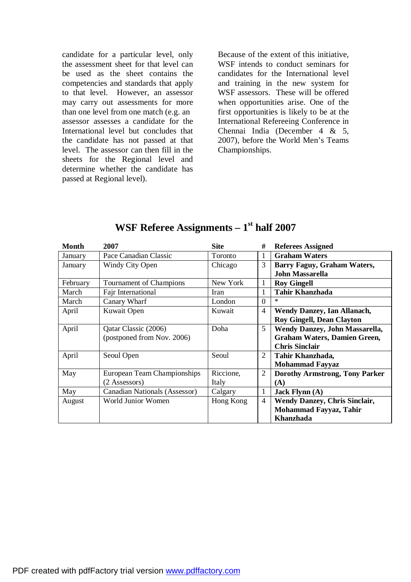candidate for a particular level, only the assessment sheet for that level can be used as the sheet contains the competencies and standards that apply to that level. However, an assessor may carry out assessments for more than one level from one match (e.g. an assessor assesses a candidate for the International level but concludes that the candidate has not passed at that level. The assessor can then fill in the sheets for the Regional level and determine whether the candidate has passed at Regional level).

Because of the extent of this initiative, WSF intends to conduct seminars for candidates for the International level and training in the new system for WSF assessors. These will be offered when opportunities arise. One of the first opportunities is likely to be at the International Refereeing Conference in Chennai India (December 4 & 5, 2007), before the World Men's Teams Championships.

| <b>Month</b> | 2007                          | <b>Site</b> | #              | <b>Referees Assigned</b>              |
|--------------|-------------------------------|-------------|----------------|---------------------------------------|
| January      | Pace Canadian Classic         | Toronto     | 1              | <b>Graham Waters</b>                  |
| January      | <b>Windy City Open</b>        | Chicago     | 3              | Barry Faguy, Graham Waters,           |
|              |                               |             |                | <b>John Massarella</b>                |
| February     | Tournament of Champions       | New York    | 1              | <b>Roy Gingell</b>                    |
| March        | Fajr International            | Iran        | 1              | <b>Tahir Khanzhada</b>                |
| March        | Canary Wharf                  | London      | $\overline{0}$ | ∗                                     |
| April        | Kuwait Open                   | Kuwait      | $\overline{4}$ | <b>Wendy Danzey, Ian Allanach,</b>    |
|              |                               |             |                | <b>Roy Gingell, Dean Clayton</b>      |
| April        | Qatar Classic (2006)          | Doha        | 5              | Wendy Danzey, John Massarella,        |
|              | (postponed from Nov. 2006)    |             |                | <b>Graham Waters, Damien Green,</b>   |
|              |                               |             |                | <b>Chris Sinclair</b>                 |
| April        | Seoul Open                    | Seoul       | 2              | Tahir Khanzhada,                      |
|              |                               |             |                | <b>Mohammad Fayyaz</b>                |
| May          | European Team Championships   | Riccione,   | 2              | <b>Dorothy Armstrong, Tony Parker</b> |
|              | (2 Assessors)                 | Italy       |                | (A)                                   |
| May          | Canadian Nationals (Assessor) | Calgary     | $\mathbf{1}$   | Jack Flynn $(A)$                      |
| August       | World Junior Women            | Hong Kong   | $\overline{4}$ | <b>Wendy Danzey, Chris Sinclair,</b>  |
|              |                               |             |                | Mohammad Fayyaz, Tahir                |
|              |                               |             |                | Khanzhada                             |

# **WSF Referee Assignments – 1st half 2007**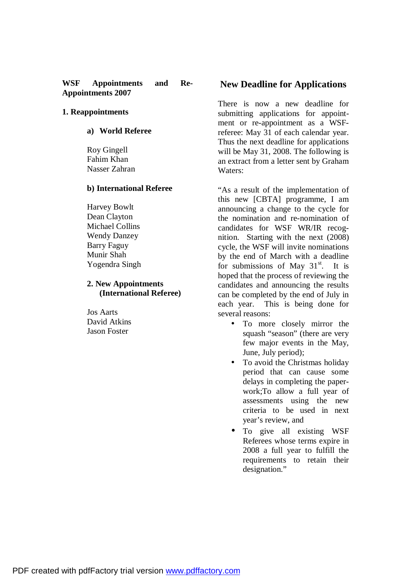#### **WSF Appointments and Re-Appointments 2007**

#### **1. Reappointments**

#### **a) World Referee**

Roy Gingell Fahim Khan Nasser Zahran

#### **b) International Referee**

Harvey Bowlt Dean Clayton Michael Collins Wendy Danzey Barry Faguy Munir Shah Yogendra Singh

#### **2. New Appointments (International Referee)**

Jos Aarts David Atkins Jason Foster

### **New Deadline for Applications**

There is now a new deadline for submitting applications for appointment or re-appointment as a WSFreferee: May 31 of each calendar year. Thus the next deadline for applications will be May 31, 2008. The following is an extract from a letter sent by Graham Waters:

"As a result of the implementation of this new [CBTA] programme, I am announcing a change to the cycle for the nomination and re-nomination of candidates for WSF WR/IR recognition. Starting with the next (2008) cycle, the WSF will invite nominations by the end of March with a deadline for submissions of May  $31<sup>st</sup>$ . It is hoped that the process of reviewing the candidates and announcing the results can be completed by the end of July in each year. This is being done for several reasons:

- To more closely mirror the squash "season" (there are very few major events in the May, June, July period);
- To avoid the Christmas holiday period that can cause some delays in completing the paperwork;To allow a full year of assessments using the new criteria to be used in next year's review, and
- To give all existing WSF Referees whose terms expire in 2008 a full year to fulfill the requirements to retain their designation."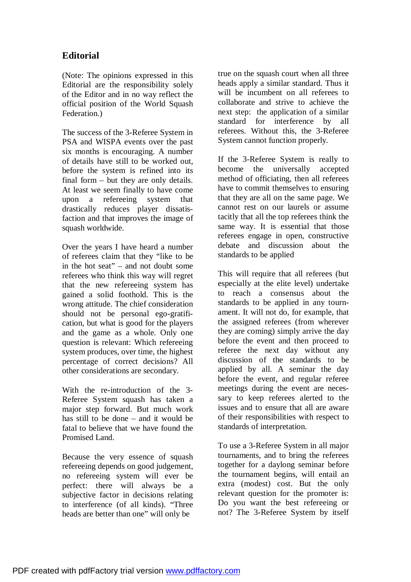# **Editorial**

(Note: The opinions expressed in this Editorial are the responsibility solely of the Editor and in no way reflect the official position of the World Squash Federation.)

The success of the 3-Referee System in PSA and WISPA events over the past six months is encouraging. A number of details have still to be worked out, before the system is refined into its final form – but they are only details. At least we seem finally to have come upon a refereeing system that drastically reduces player dissatisfaction and that improves the image of squash worldwide.

Over the years I have heard a number of referees claim that they "like to be in the hot seat" – and not doubt some referees who think this way will regret that the new refereeing system has gained a solid foothold. This is the wrong attitude. The chief consideration should not be personal ego-gratification, but what is good for the players and the game as a whole. Only one question is relevant: Which refereeing system produces, over time, the highest percentage of correct decisions? All other considerations are secondary.

With the re-introduction of the 3- Referee System squash has taken a major step forward. But much work has still to be done – and it would be fatal to believe that we have found the Promised Land.

Because the very essence of squash refereeing depends on good judgement, no refereeing system will ever be perfect: there will always be a subjective factor in decisions relating to interference (of all kinds). "Three heads are better than one" will only be

true on the squash court when all three heads apply a similar standard. Thus it will be incumbent on all referees to collaborate and strive to achieve the next step: the application of a similar standard for interference by all referees. Without this, the 3-Referee System cannot function properly.

If the 3-Referee System is really to become the universally accepted method of officiating, then all referees have to commit themselves to ensuring that they are all on the same page. We cannot rest on our laurels or assume tacitly that all the top referees think the same way. It is essential that those referees engage in open, constructive debate and discussion about the standards to be applied

This will require that all referees (but especially at the elite level) undertake to reach a consensus about the standards to be applied in any tournament. It will not do, for example, that the assigned referees (from wherever they are coming) simply arrive the day before the event and then proceed to referee the next day without any discussion of the standards to be applied by all. A seminar the day before the event, and regular referee meetings during the event are necessary to keep referees alerted to the issues and to ensure that all are aware of their responsibilities with respect to standards of interpretation.

To use a 3-Referee System in all major tournaments, and to bring the referees together for a daylong seminar before the tournament begins, will entail an extra (modest) cost. But the only relevant question for the promoter is: Do you want the best refereeing or not? The 3-Referee System by itself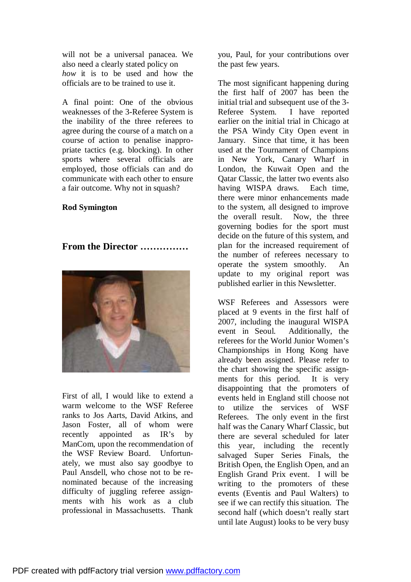will not be a universal panacea. We also need a clearly stated policy on *how* it is to be used and how the officials are to be trained to use it.

A final point: One of the obvious weaknesses of the 3-Referee System is the inability of the three referees to agree during the course of a match on a course of action to penalise inappropriate tactics (e.g. blocking). In other sports where several officials are employed, those officials can and do communicate with each other to ensure a fair outcome. Why not in squash?

#### **Rod Symington**

## **From the Director ……………**



First of all, I would like to extend a warm welcome to the WSF Referee ranks to Jos Aarts, David Atkins, and Jason Foster, all of whom were recently appointed as IR's by ManCom, upon the recommendation of the WSF Review Board. Unfortunately, we must also say goodbye to Paul Ansdell, who chose not to be renominated because of the increasing difficulty of juggling referee assignments with his work as a club professional in Massachusetts. Thank

you, Paul, for your contributions over the past few years.

The most significant happening during the first half of 2007 has been the initial trial and subsequent use of the 3-Referee System. I have reported earlier on the initial trial in Chicago at the PSA Windy City Open event in January. Since that time, it has been used at the Tournament of Champions in New York, Canary Wharf in London, the Kuwait Open and the Qatar Classic, the latter two events also having WISPA draws. Each time, there were minor enhancements made to the system, all designed to improve the overall result. Now, the three governing bodies for the sport must decide on the future of this system, and plan for the increased requirement of the number of referees necessary to operate the system smoothly. An update to my original report was published earlier in this Newsletter.

WSF Referees and Assessors were placed at 9 events in the first half of 2007, including the inaugural WISPA event in Seoul. Additionally, the referees for the World Junior Women's Championships in Hong Kong have already been assigned. Please refer to the chart showing the specific assignments for this period. It is very disappointing that the promoters of events held in England still choose not to utilize the services of WSF Referees. The only event in the first half was the Canary Wharf Classic, but there are several scheduled for later this year, including the recently salvaged Super Series Finals, the British Open, the English Open, and an English Grand Prix event. I will be writing to the promoters of these events (Eventis and Paul Walters) to see if we can rectify this situation. The second half (which doesn't really start until late August) looks to be very busy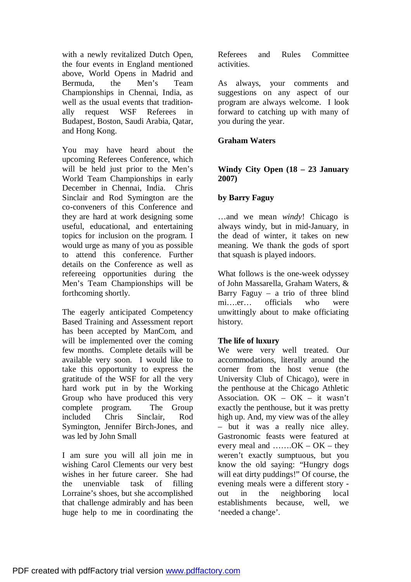with a newly revitalized Dutch Open, the four events in England mentioned above, World Opens in Madrid and Bermuda, the Men's Team Championships in Chennai, India, as well as the usual events that traditionally request WSF Referees in Budapest, Boston, Saudi Arabia, Qatar, and Hong Kong.

You may have heard about the upcoming Referees Conference, which will be held just prior to the Men's World Team Championships in early December in Chennai, India. Chris Sinclair and Rod Symington are the co-conveners of this Conference and they are hard at work designing some useful, educational, and entertaining topics for inclusion on the program. I would urge as many of you as possible to attend this conference. Further details on the Conference as well as refereeing opportunities during the Men's Team Championships will be forthcoming shortly.

The eagerly anticipated Competency Based Training and Assessment report has been accepted by ManCom, and will be implemented over the coming few months. Complete details will be available very soon. I would like to take this opportunity to express the gratitude of the WSF for all the very hard work put in by the Working Group who have produced this very complete program. The Group included Chris Sinclair, Rod Symington, Jennifer Birch-Jones, and was led by John Small

I am sure you will all join me in wishing Carol Clements our very best wishes in her future career. She had the unenviable task of filling Lorraine's shoes, but she accomplished that challenge admirably and has been huge help to me in coordinating the

Referees and Rules Committee activities.

As always, your comments and suggestions on any aspect of our program are always welcome. I look forward to catching up with many of you during the year.

## **Graham Waters**

## **Windy City Open (18 – 23 January 2007)**

## **by Barry Faguy**

…and we mean *windy*! Chicago is always windy, but in mid-January, in the dead of winter, it takes on new meaning. We thank the gods of sport that squash is played indoors.

What follows is the one-week odyssey of John Massarella, Graham Waters, & Barry Faguy  $-$  a trio of three blind mi….er… officials who were unwittingly about to make officiating history.

## **The life of luxury**

We were very well treated. Our accommodations, literally around the corner from the host venue (the University Club of Chicago), were in the penthouse at the Chicago Athletic Association. OK – OK – it wasn't exactly the penthouse, but it was pretty high up. And, my view was of the alley – but it was a really nice alley. Gastronomic feasts were featured at every meal and  $\dots$ ..... $OK - OK - they$ weren't exactly sumptuous, but you know the old saying: "Hungry dogs will eat dirty puddings!" Of course, the evening meals were a different story out in the neighboring local establishments because, well, we 'needed a change'.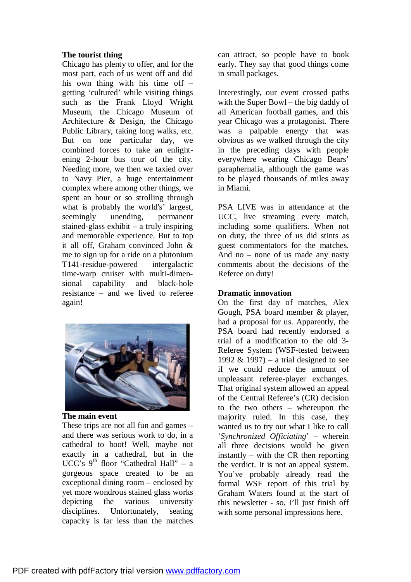## **The tourist thing**

Chicago has plenty to offer, and for the most part, each of us went off and did his own thing with his time off – getting 'cultured' while visiting things such as the Frank Lloyd Wright Museum, the Chicago Museum of Architecture & Design, the Chicago Public Library, taking long walks, etc. But on one particular day, we combined forces to take an enlightening 2-hour bus tour of the city. Needing more, we then we taxied over to Navy Pier, a huge entertainment complex where among other things, we spent an hour or so strolling through what is probably the world's' largest, seemingly unending, permanent stained-glass exhibit – a truly inspiring and memorable experience. But to top it all off, Graham convinced John & me to sign up for a ride on a plutonium T141-residue-powered intergalactic time-warp cruiser with multi-dimensional capability and black-hole resistance – and we lived to referee again!



**The main event** 

These trips are not all fun and games – and there was serious work to do, in a cathedral to boot! Well, maybe not exactly in a cathedral, but in the UCC's  $9<sup>th</sup>$  floor "Cathedral Hall" – a gorgeous space created to be an exceptional dining room – enclosed by yet more wondrous stained glass works depicting the various university disciplines. Unfortunately, seating capacity is far less than the matches

can attract, so people have to book early. They say that good things come in small packages.

Interestingly, our event crossed paths with the Super Bowl – the big daddy of all American football games, and this year Chicago was a protagonist. There was a palpable energy that was obvious as we walked through the city in the preceding days with people everywhere wearing Chicago Bears' paraphernalia, although the game was to be played thousands of miles away in Miami.

PSA LIVE was in attendance at the UCC, live streaming every match, including some qualifiers. When not on duty, the three of us did stints as guest commentators for the matches. And no – none of us made any nasty comments about the decisions of the Referee on duty!

## **Dramatic innovation**

On the first day of matches, Alex Gough, PSA board member & player, had a proposal for us. Apparently, the PSA board had recently endorsed a trial of a modification to the old 3- Referee System (WSF-tested between 1992 & 1997) – a trial designed to see if we could reduce the amount of unpleasant referee-player exchanges. That original system allowed an appeal of the Central Referee's (CR) decision to the two others – whereupon the majority ruled. In this case, they wanted us to try out what I like to call '*Synchronized Officiating*' – wherein all three decisions would be given instantly – with the CR then reporting the verdict. It is not an appeal system. You've probably already read the formal WSF report of this trial by Graham Waters found at the start of this newsletter - so, I'll just finish off with some personal impressions here.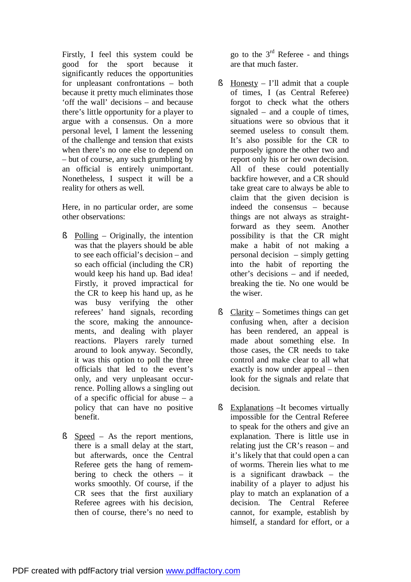Firstly, I feel this system could be good for the sport because it significantly reduces the opportunities for unpleasant confrontations – both because it pretty much eliminates those 'off the wall' decisions – and because there's little opportunity for a player to argue with a consensus. On a more personal level, I lament the lessening of the challenge and tension that exists when there's no one else to depend on – but of course, any such grumbling by an official is entirely unimportant. Nonetheless, I suspect it will be a reality for others as well.

Here, in no particular order, are some other observations:

- § Polling Originally, the intention was that the players should be able to see each official's decision – and so each official (including the CR) would keep his hand up. Bad idea! Firstly, it proved impractical for the CR to keep his hand up, as he was busy verifying the other referees' hand signals, recording the score, making the announcements, and dealing with player reactions. Players rarely turned around to look anyway. Secondly, it was this option to poll the three officials that led to the event's only, and very unpleasant occurrence. Polling allows a singling out of a specific official for abuse  $-$  a policy that can have no positive benefit.
- § Speed As the report mentions, there is a small delay at the start, but afterwards, once the Central Referee gets the hang of remembering to check the others – it works smoothly. Of course, if the CR sees that the first auxiliary Referee agrees with his decision, then of course, there's no need to

go to the  $3<sup>rd</sup>$  Referee - and things are that much faster.

- $\S$  Honesty I'll admit that a couple of times, I (as Central Referee) forgot to check what the others signaled – and a couple of times, situations were so obvious that it seemed useless to consult them. It's also possible for the CR to purposely ignore the other two and report only his or her own decision. All of these could potentially backfire however, and a CR should take great care to always be able to claim that the given decision is indeed the consensus – because things are not always as straightforward as they seem. Another possibility is that the CR might make a habit of not making a personal decision – simply getting into the habit of reporting the other's decisions – and if needed, breaking the tie. No one would be the wiser.
- § Clarity Sometimes things can get confusing when, after a decision has been rendered, an appeal is made about something else. In those cases, the CR needs to take control and make clear to all what exactly is now under appeal – then look for the signals and relate that decision.
- § Explanations –It becomes virtually impossible for the Central Referee to speak for the others and give an explanation. There is little use in relating just the CR's reason – and it's likely that that could open a can of worms. Therein lies what to me is a significant drawback – the inability of a player to adjust his play to match an explanation of a decision. The Central Referee cannot, for example, establish by himself, a standard for effort, or a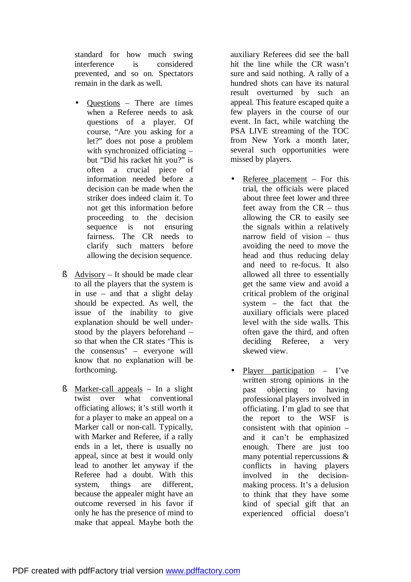standard for how much swing interference is considered prevented, and so on. Spectators remain in the dark as well.

- Questions There are times when a Referee needs to ask questions of a player. Of course, "Are you asking for a let?" does not pose a problem with synchronized officiating – but "Did his racket hit you?" is often a crucial piece of information needed before a decision can be made when the striker does indeed claim it. To not get this information before proceeding to the decision sequence is not ensuring fairness. The CR needs to clarify such matters before allowing the decision sequence.
- § Advisory It should be made clear to all the players that the system is in use – and that a slight delay should be expected. As well, the issue of the inability to give explanation should be well understood by the players beforehand – so that when the CR states 'This is the consensus' – everyone will know that no explanation will be forthcoming.
- § Marker-call appeals In a slight twist over what conventional officiating allows; it's still worth it for a player to make an appeal on a Marker call or non-call. Typically, with Marker and Referee, if a rally ends in a let, there is usually no appeal, since at best it would only lead to another let anyway if the Referee had a doubt. With this system, things are different, because the appealer might have an outcome reversed in his favor if only he has the presence of mind to make that appeal. Maybe both the

auxiliary Referees did see the ball hit the line while the CR wasn't sure and said nothing. A rally of a hundred shots can have its natural result overturned by such an appeal. This feature escaped quite a few players in the course of our event. In fact, while watching the PSA LIVE streaming of the TOC from New York a month later, several such opportunities were missed by players.

- Referee placement  $-$  For this trial, the officials were placed about three feet lower and three feet away from the CR – thus allowing the CR to easily see the signals within a relatively narrow field of vision – thus avoiding the need to move the head and thus reducing delay and need to re-focus. It also allowed all three to essentially get the same view and avoid a critical problem of the original system – the fact that the auxiliary officials were placed level with the side walls. This often gave the third, and often deciding Referee, a very skewed view.
- Player participation  $-$  I've written strong opinions in the past objecting to having professional players involved in officiating. I'm glad to see that the report to the WSF is consistent with that opinion – and it can't be emphasized enough. There are just too many potential repercussions & conflicts in having players involved in the decisionmaking process. It's a delusion to think that they have some kind of special gift that an experienced official doesn't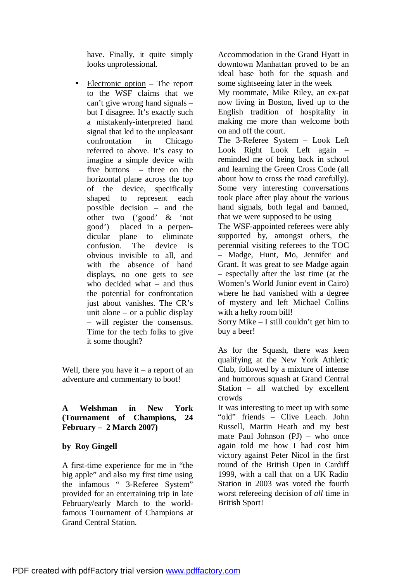have. Finally, it quite simply looks unprofessional.

• Electronic option – The report to the WSF claims that we can't give wrong hand signals – but I disagree. It's exactly such a mistakenly-interpreted hand signal that led to the unpleasant confrontation in Chicago referred to above. It's easy to imagine a simple device with five buttons – three on the horizontal plane across the top of the device, specifically shaped to represent each possible decision – and the other two ('good' & 'not good') placed in a perpendicular plane to eliminate confusion. The device is obvious invisible to all, and with the absence of hand displays, no one gets to see who decided what – and thus the potential for confrontation just about vanishes. The CR's unit alone – or a public display – will register the consensus. Time for the tech folks to give it some thought?

Well, there you have  $it - a$  report of an adventure and commentary to boot!

## **A Welshman in New York (Tournament of Champions, 24 February – 2 March 2007)**

## **by Roy Gingell**

A first-time experience for me in "the big apple" and also my first time using the infamous " 3-Referee System" provided for an entertaining trip in late February/early March to the worldfamous Tournament of Champions at Grand Central Station.

Accommodation in the Grand Hyatt in downtown Manhattan proved to be an ideal base both for the squash and some sightseeing later in the week My roommate, Mike Riley, an ex-pat now living in Boston, lived up to the English tradition of hospitality in making me more than welcome both on and off the court. The 3-Referee System – Look Left Look Right Look Left again – reminded me of being back in school

and learning the Green Cross Code (all about how to cross the road carefully). Some very interesting conversations took place after play about the various hand signals, both legal and banned, that we were supposed to be using

The WSF-appointed referees were ably supported by, amongst others, the perennial visiting referees to the TOC – Madge, Hunt, Mo, Jennifer and Grant. It was great to see Madge again – especially after the last time (at the Women's World Junior event in Cairo) where he had vanished with a degree of mystery and left Michael Collins with a hefty room bill!

Sorry Mike – I still couldn't get him to buy a beer!

As for the Squash, there was keen qualifying at the New York Athletic Club, followed by a mixture of intense and humorous squash at Grand Central Station – all watched by excellent crowds

It was interesting to meet up with some "old" friends – Clive Leach. John Russell, Martin Heath and my best mate Paul Johnson (PJ) – who once again told me how I had cost him victory against Peter Nicol in the first round of the British Open in Cardiff 1999, with a call that on a UK Radio Station in 2003 was voted the fourth worst refereeing decision of *all* time in British Sport!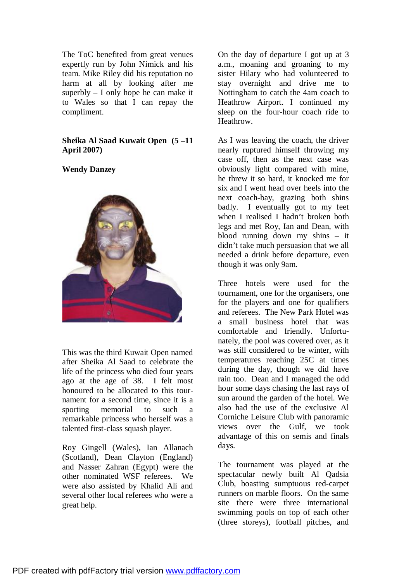The ToC benefited from great venues expertly run by John Nimick and his team. Mike Riley did his reputation no harm at all by looking after me superbly – I only hope he can make it to Wales so that I can repay the compliment.

## **Sheika Al Saad Kuwait Open (5 –11 April 2007)**

## **Wendy Danzey**



This was the third Kuwait Open named after Sheika Al Saad to celebrate the life of the princess who died four years ago at the age of 38. I felt most honoured to be allocated to this tournament for a second time, since it is a sporting memorial to such a remarkable princess who herself was a talented first-class squash player.

Roy Gingell (Wales), Ian Allanach (Scotland), Dean Clayton (England) and Nasser Zahran (Egypt) were the other nominated WSF referees. We were also assisted by Khalid Ali and several other local referees who were a great help.

On the day of departure I got up at 3 a.m., moaning and groaning to my sister Hilary who had volunteered to stay overnight and drive me to Nottingham to catch the 4am coach to Heathrow Airport. I continued my sleep on the four-hour coach ride to Heathrow.

As I was leaving the coach, the driver nearly ruptured himself throwing my case off, then as the next case was obviously light compared with mine, he threw it so hard, it knocked me for six and I went head over heels into the next coach-bay, grazing both shins badly. I eventually got to my feet when I realised I hadn't broken both legs and met Roy, Ian and Dean, with blood running down my shins – it didn't take much persuasion that we all needed a drink before departure, even though it was only 9am.

Three hotels were used for the tournament, one for the organisers, one for the players and one for qualifiers and referees. The New Park Hotel was a small business hotel that was comfortable and friendly. Unfortunately, the pool was covered over, as it was still considered to be winter, with temperatures reaching 25C at times during the day, though we did have rain too. Dean and I managed the odd hour some days chasing the last rays of sun around the garden of the hotel. We also had the use of the exclusive Al Corniche Leisure Club with panoramic views over the Gulf, we took advantage of this on semis and finals days.

The tournament was played at the spectacular newly built Al Qadsia Club, boasting sumptuous red-carpet runners on marble floors. On the same site there were three international swimming pools on top of each other (three storeys), football pitches, and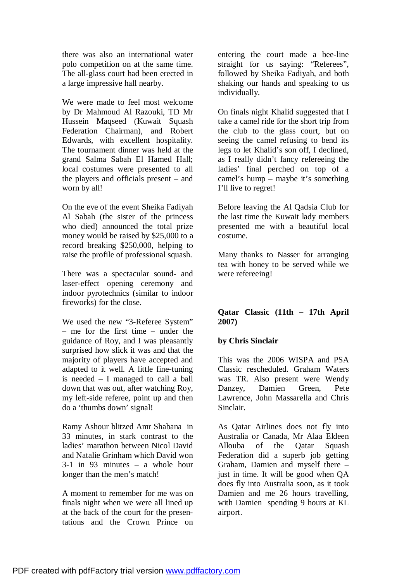there was also an international water polo competition on at the same time. The all-glass court had been erected in a large impressive hall nearby.

We were made to feel most welcome by Dr Mahmoud Al Razouki, TD Mr Hussein Maqseed (Kuwait Squash Federation Chairman), and Robert Edwards, with excellent hospitality. The tournament dinner was held at the grand Salma Sabah El Hamed Hall; local costumes were presented to all the players and officials present – and worn by all!

On the eve of the event Sheika Fadiyah Al Sabah (the sister of the princess who died) announced the total prize money would be raised by \$25,000 to a record breaking \$250,000, helping to raise the profile of professional squash.

There was a spectacular sound- and laser-effect opening ceremony and indoor pyrotechnics (similar to indoor fireworks) for the close.

We used the new "3-Referee System" – me for the first time – under the guidance of Roy, and I was pleasantly surprised how slick it was and that the majority of players have accepted and adapted to it well. A little fine-tuning is needed – I managed to call a ball down that was out, after watching Roy, my left-side referee, point up and then do a 'thumbs down' signal!

Ramy Ashour blitzed Amr Shabana in 33 minutes, in stark contrast to the ladies' marathon between Nicol David and Natalie Grinham which David won 3-1 in 93 minutes – a whole hour longer than the men's match!

A moment to remember for me was on finals night when we were all lined up at the back of the court for the presentations and the Crown Prince on

entering the court made a bee-line straight for us saying: "Referees", followed by Sheika Fadiyah, and both shaking our hands and speaking to us individually.

On finals night Khalid suggested that I take a camel ride for the short trip from the club to the glass court, but on seeing the camel refusing to bend its legs to let Khalid's son off, I declined, as I really didn't fancy refereeing the ladies' final perched on top of a camel's hump – maybe it's something I'll live to regret!

Before leaving the Al Qadsia Club for the last time the Kuwait lady members presented me with a beautiful local costume.

Many thanks to Nasser for arranging tea with honey to be served while we were refereeing!

## **Qatar Classic (11th – 17th April 2007)**

## **by Chris Sinclair**

This was the 2006 WISPA and PSA Classic rescheduled. Graham Waters was TR. Also present were Wendy Danzey, Damien Green, Pete Lawrence, John Massarella and Chris Sinclair.

As Qatar Airlines does not fly into Australia or Canada, Mr Alaa Eldeen Allouba of the Qatar Squash Federation did a superb job getting Graham, Damien and myself there – just in time. It will be good when QA does fly into Australia soon, as it took Damien and me 26 hours travelling, with Damien spending 9 hours at KL airport.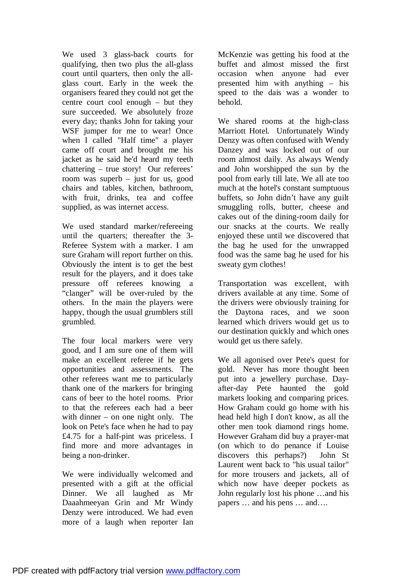We used 3 glass-back courts for qualifying, then two plus the all-glass court until quarters, then only the allglass court. Early in the week the organisers feared they could not get the centre court cool enough – but they sure succeeded. We absolutely froze every day; thanks John for taking your WSF jumper for me to wear! Once when I called "Half time" a player came off court and brought me his jacket as he said he'd heard my teeth chattering – true story! Our referees' room was superb – just for us, good chairs and tables, kitchen, bathroom, with fruit, drinks, tea and coffee supplied, as was internet access.

We used standard marker/refereeing until the quarters; thereafter the 3- Referee System with a marker. I am sure Graham will report further on this. Obviously the intent is to get the best result for the players, and it does take pressure off referees knowing a "clanger" will be over-ruled by the others. In the main the players were happy, though the usual grumblers still grumbled.

The four local markers were very good, and I am sure one of them will make an excellent referee if he gets opportunities and assessments. The other referees want me to particularly thank one of the markers for bringing cans of beer to the hotel rooms. Prior to that the referees each had a beer with dinner – on one night only. The look on Pete's face when he had to pay £4.75 for a half-pint was priceless. I find more and more advantages in being a non-drinker.

We were individually welcomed and presented with a gift at the official Dinner. We all laughed as Mr Daaahmeeyan Grin and Mr Windy Denzy were introduced. We had even more of a laugh when reporter Ian McKenzie was getting his food at the buffet and almost missed the first occasion when anyone had ever presented him with anything – his speed to the dais was a wonder to behold.

We shared rooms at the high-class Marriott Hotel. Unfortunately Windy Denzy was often confused with Wendy Danzey and was locked out of our room almost daily. As always Wendy and John worshipped the sun by the pool from early till late. We all ate too much at the hotel's constant sumptuous buffets, so John didn't have any guilt smuggling rolls, butter, cheese and cakes out of the dining-room daily for our snacks at the courts. We really enjoyed these until we discovered that the bag he used for the unwrapped food was the same bag he used for his sweaty gym clothes!

Transportation was excellent, with drivers available at any time. Some of the drivers were obviously training for the Daytona races, and we soon learned which drivers would get us to our destination quickly and which ones would get us there safely.

We all agonised over Pete's quest for gold. Never has more thought been put into a jewellery purchase. Dayafter-day Pete haunted the gold markets looking and comparing prices. How Graham could go home with his head held high I don't know, as all the other men took diamond rings home. However Graham did buy a prayer-mat (on which to do penance if Louise discovers this perhaps?) John St Laurent went back to "his usual tailor" for more trousers and jackets, all of which now have deeper pockets as John regularly lost his phone …and his papers … and his pens … and….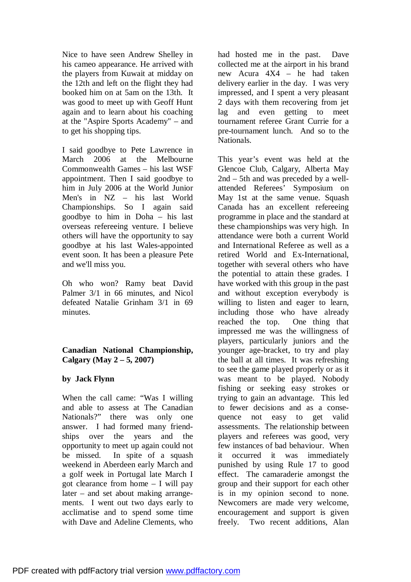Nice to have seen Andrew Shelley in his cameo appearance. He arrived with the players from Kuwait at midday on the 12th and left on the flight they had booked him on at 5am on the 13th. It was good to meet up with Geoff Hunt again and to learn about his coaching at the "Aspire Sports Academy" – and to get his shopping tips.

I said goodbye to Pete Lawrence in March 2006 at the Melbourne Commonwealth Games – his last WSF appointment. Then I said goodbye to him in July 2006 at the World Junior Men's in NZ – his last World Championships. So I again said goodbye to him in Doha – his last overseas refereeing venture. I believe others will have the opportunity to say goodbye at his last Wales-appointed event soon. It has been a pleasure Pete and we'll miss you.

Oh who won? Ramy beat David Palmer 3/1 in 66 minutes, and Nicol defeated Natalie Grinham 3/1 in 69 minutes.

## **Canadian National Championship, Calgary (May 2 – 5, 2007)**

## **by Jack Flynn**

When the call came: "Was I willing and able to assess at The Canadian Nationals?" there was only one answer. I had formed many friendships over the years and the opportunity to meet up again could not be missed. In spite of a squash weekend in Aberdeen early March and a golf week in Portugal late March I got clearance from home – I will pay later – and set about making arrangements. I went out two days early to acclimatise and to spend some time with Dave and Adeline Clements, who

had hosted me in the past. Dave collected me at the airport in his brand new Acura 4X4 – he had taken delivery earlier in the day. I was very impressed, and I spent a very pleasant 2 days with them recovering from jet lag and even getting to meet tournament referee Grant Currie for a pre-tournament lunch. And so to the Nationals.

This year's event was held at the Glencoe Club, Calgary, Alberta May 2nd – 5th and was preceded by a wellattended Referees' Symposium on May 1st at the same venue. Squash Canada has an excellent refereeing programme in place and the standard at these championships was very high. In attendance were both a current World and International Referee as well as a retired World and Ex-International, together with several others who have the potential to attain these grades. I have worked with this group in the past and without exception everybody is willing to listen and eager to learn, including those who have already reached the top. One thing that impressed me was the willingness of players, particularly juniors and the younger age-bracket, to try and play the ball at all times. It was refreshing to see the game played properly or as it was meant to be played. Nobody fishing or seeking easy strokes or trying to gain an advantage. This led to fewer decisions and as a consequence not easy to get valid assessments. The relationship between players and referees was good, very few instances of bad behaviour. When it occurred it was immediately punished by using Rule 17 to good effect. The camaraderie amongst the group and their support for each other is in my opinion second to none. Newcomers are made very welcome, encouragement and support is given freely. Two recent additions, Alan